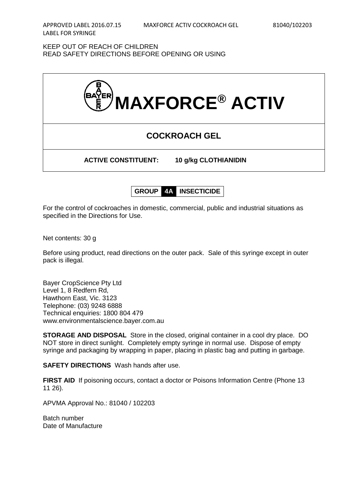KEEP OUT OF REACH OF CHILDREN READ SAFETY DIRECTIONS BEFORE OPENING OR USING



**GROUP 4A INSECTICIDE**

For the control of cockroaches in domestic, commercial, public and industrial situations as specified in the Directions for Use.

Net contents: 30 g

Before using product, read directions on the outer pack. Sale of this syringe except in outer pack is illegal.

Bayer CropScience Pty Ltd Level 1, 8 Redfern Rd, Hawthorn East, Vic. 3123 Telephone: (03) 9248 6888 Technical enquiries: 1800 804 479 www.environmentalscience.bayer.com.au

**STORAGE AND DISPOSAL** Store in the closed, original container in a cool dry place. DO NOT store in direct sunlight. Completely empty syringe in normal use. Dispose of empty syringe and packaging by wrapping in paper, placing in plastic bag and putting in garbage.

**SAFETY DIRECTIONS** Wash hands after use.

**FIRST AID** If poisoning occurs, contact a doctor or Poisons Information Centre (Phone 13 11 26).

APVMA Approval No.: 81040 / 102203

Batch number Date of Manufacture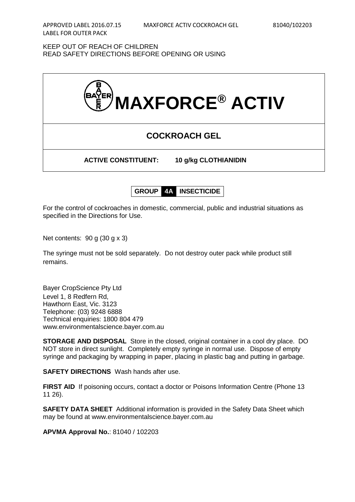KEEP OUT OF REACH OF CHILDREN READ SAFETY DIRECTIONS BEFORE OPENING OR USING



**GROUP 4A INSECTICIDE**

For the control of cockroaches in domestic, commercial, public and industrial situations as specified in the Directions for Use.

Net contents: 90 g (30 g x 3)

The syringe must not be sold separately. Do not destroy outer pack while product still remains.

Bayer CropScience Pty Ltd Level 1, 8 Redfern Rd, Hawthorn East, Vic. 3123 Telephone: (03) 9248 6888 Technical enquiries: 1800 804 479 www.environmentalscience.bayer.com.au

**STORAGE AND DISPOSAL** Store in the closed, original container in a cool dry place. DO NOT store in direct sunlight. Completely empty syringe in normal use. Dispose of empty syringe and packaging by wrapping in paper, placing in plastic bag and putting in garbage.

**SAFETY DIRECTIONS** Wash hands after use.

**FIRST AID** If poisoning occurs, contact a doctor or Poisons Information Centre (Phone 13 11 26).

**SAFETY DATA SHEET** Additional information is provided in the Safety Data Sheet which may be found at www.environmentalscience.bayer.com.au

**APVMA Approval No.**: 81040 / 102203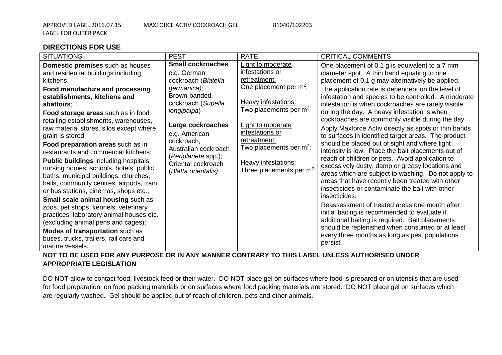## **DIRECTIONS FOR USE**

| <b>SITUATIONS</b>                                                                                                                                                                                                                                                                                                                                                                                                                                                                                                                                                                                                                                                                                                                                                                                                                                                                                | <b>PEST</b>                                                                                                                                                                                                                                                                        | <b>RATE</b>                                                                                                                                                                                                                                                                          | <b>CRITICAL COMMENTS</b>                                                                                                                                                                                                                                                                                                                                                                                                                                                                                                                                                                                                                                                                                                                                                                                                                                                                                                                                                                                                                                                                                                                                                                                |
|--------------------------------------------------------------------------------------------------------------------------------------------------------------------------------------------------------------------------------------------------------------------------------------------------------------------------------------------------------------------------------------------------------------------------------------------------------------------------------------------------------------------------------------------------------------------------------------------------------------------------------------------------------------------------------------------------------------------------------------------------------------------------------------------------------------------------------------------------------------------------------------------------|------------------------------------------------------------------------------------------------------------------------------------------------------------------------------------------------------------------------------------------------------------------------------------|--------------------------------------------------------------------------------------------------------------------------------------------------------------------------------------------------------------------------------------------------------------------------------------|---------------------------------------------------------------------------------------------------------------------------------------------------------------------------------------------------------------------------------------------------------------------------------------------------------------------------------------------------------------------------------------------------------------------------------------------------------------------------------------------------------------------------------------------------------------------------------------------------------------------------------------------------------------------------------------------------------------------------------------------------------------------------------------------------------------------------------------------------------------------------------------------------------------------------------------------------------------------------------------------------------------------------------------------------------------------------------------------------------------------------------------------------------------------------------------------------------|
| Domestic premises such as houses<br>and residential buildings including<br>kitchens;<br>Food manufacture and processing<br>establishments, kitchens and<br>abattoirs;<br>Food storage areas such as in food<br>retailing establishments, warehouses,<br>raw material stores, silos except where<br>grain is stored;<br>Food preparation areas such as in<br>restaurants and commercial kitchens;<br><b>Public buildings including hospitals,</b><br>nursing homes, schools, hotels, public<br>baths, municipal buildings, churches,<br>halls, community centres, airports, train<br>or bus stations, cinemas, shops etc.;<br><b>Small scale animal housing such as</b><br>zoos, pet shops, kennels, veterinary<br>practices, laboratory animal houses etc.<br>(excluding animal pens and cages);<br>Modes of transportation such as<br>buses, trucks, trailers, rail cars and<br>marine vessels. | <b>Small cockroaches</b><br>e.g. German<br>cockroach (Blatella<br>germanica);<br>Brown-banded<br>cockroach (Supella<br>longipalpa)<br>Large cockroaches<br>e.g. American<br>cockroach,<br>Australian cockroach<br>(Periplaneta spp.);<br>Oriental cockroach<br>(Blatta orientalis) | Light to moderate<br>infestations or<br>retreatment:<br>One placement per $m^2$ ;<br>Heavy infestations:<br>Two placements per $m2$<br>Light to moderate<br>infestations or<br>retreatment:<br>Two placements per $m^2$ ;<br><b>Heavy infestations:</b><br>Three placements per $m2$ | One placement of 0.1 g is equivalent to a 7 mm<br>diameter spot. A thin band equating to one<br>placement of 0.1 g may alternatively be applied.<br>The application rate is dependent on the level of<br>infestation and species to be controlled. A moderate<br>infestation is when cockroaches are rarely visible<br>during the day. A heavy infestation is when<br>cockroaches are commonly visible during the day.<br>Apply Maxforce Activ directly as spots or thin bands<br>to surfaces in identified target areas. The product<br>should be placed out of sight and where light<br>intensity is low. Place the bait placements out of<br>reach of children or pets. Avoid application to<br>excessively dusty, damp or greasy locations and<br>areas which are subject to washing. Do not apply to<br>areas that have recently been treated with other<br>insecticides or contaminate the bait with other<br>insecticides.<br>Reassessment of treated areas one month after<br>initial baiting is recommended to evaluate if<br>additional baiting is required. Bait placements<br>should be replenished when consumed or at least<br>every three months as long as pest populations<br>persist. |

## **NOT TO BE USED FOR ANY PURPOSE OR IN ANY MANNER CONTRARY TO THIS LABEL UNLESS AUTHORISED UNDER APPROPRIATE LEGISLATION**

DO NOT allow to contact food, livestock feed or their water. DO NOT place gel on surfaces where food is prepared or on utensils that are used for food preparation, on food packing materials or on surfaces where food packing materials are stored. DO NOT place gel on surfaces which are regularly washed. Gel should be applied out of reach of children, pets and other animals.